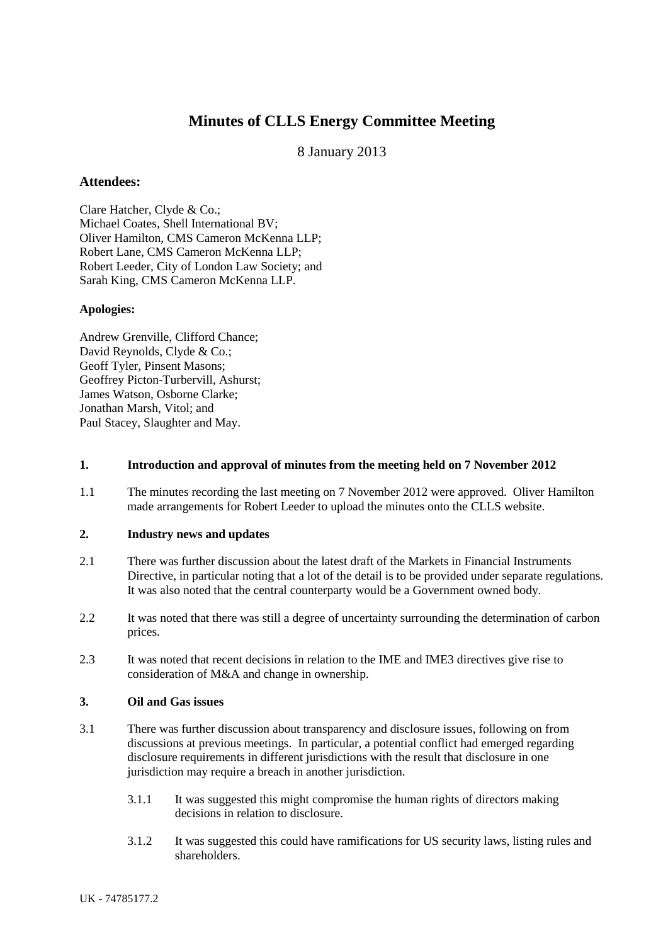# **Minutes of CLLS Energy Committee Meeting**

# 8 January 2013

## **Attendees:**

Clare Hatcher, Clyde & Co.; Michael Coates, Shell International BV; Oliver Hamilton, CMS Cameron McKenna LLP; Robert Lane, CMS Cameron McKenna LLP; Robert Leeder, City of London Law Society; and Sarah King, CMS Cameron McKenna LLP.

#### **Apologies:**

Andrew Grenville, Clifford Chance; David Reynolds, Clyde & Co.; Geoff Tyler, Pinsent Masons; Geoffrey Picton-Turbervill, Ashurst; James Watson, Osborne Clarke; Jonathan Marsh, Vitol; and Paul Stacey, Slaughter and May.

#### **1. Introduction and approval of minutes from the meeting held on 7 November 2012**

1.1 The minutes recording the last meeting on 7 November 2012 were approved. Oliver Hamilton made arrangements for Robert Leeder to upload the minutes onto the CLLS website.

#### **2. Industry news and updates**

- 2.1 There was further discussion about the latest draft of the Markets in Financial Instruments Directive, in particular noting that a lot of the detail is to be provided under separate regulations. It was also noted that the central counterparty would be a Government owned body.
- 2.2 It was noted that there was still a degree of uncertainty surrounding the determination of carbon prices.
- 2.3 It was noted that recent decisions in relation to the IME and IME3 directives give rise to consideration of M&A and change in ownership.

#### **3. Oil and Gas issues**

- 3.1 There was further discussion about transparency and disclosure issues, following on from discussions at previous meetings. In particular, a potential conflict had emerged regarding disclosure requirements in different jurisdictions with the result that disclosure in one jurisdiction may require a breach in another jurisdiction.
	- 3.1.1 It was suggested this might compromise the human rights of directors making decisions in relation to disclosure.
	- 3.1.2 It was suggested this could have ramifications for US security laws, listing rules and shareholders.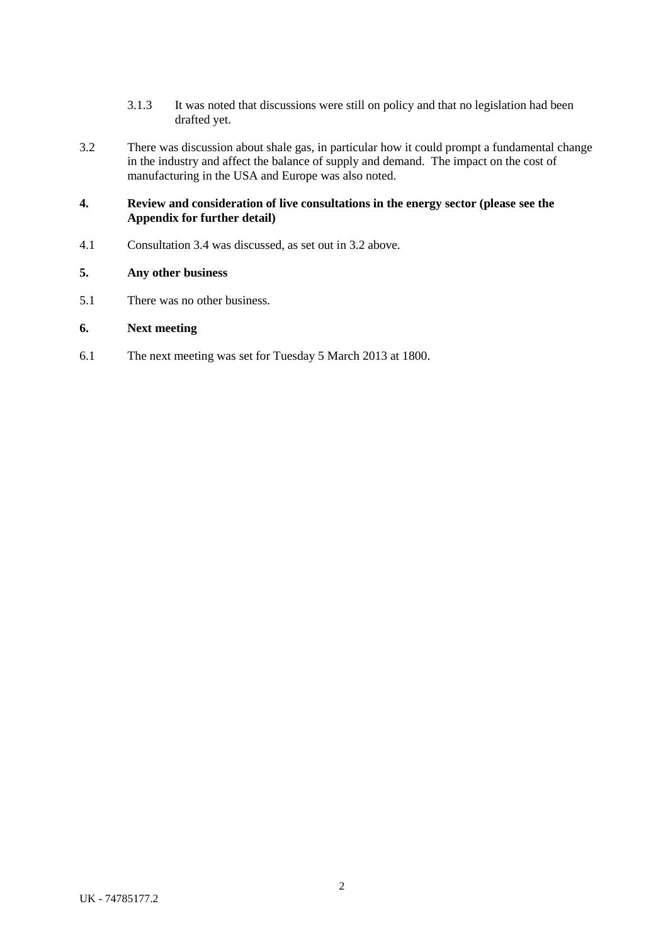- 3.1.3 It was noted that discussions were still on policy and that no legislation had been drafted yet.
- 3.2 There was discussion about shale gas, in particular how it could prompt a fundamental change in the industry and affect the balance of supply and demand. The impact on the cost of manufacturing in the USA and Europe was also noted.

# **4. Review and consideration of live consultations in the energy sector (please see the Appendix for further detail)**

4.1 Consultation 3.4 was discussed, as set out in 3.2 above.

## **5. Any other business**

5.1 There was no other business.

# **6. Next meeting**

6.1 The next meeting was set for Tuesday 5 March 2013 at 1800.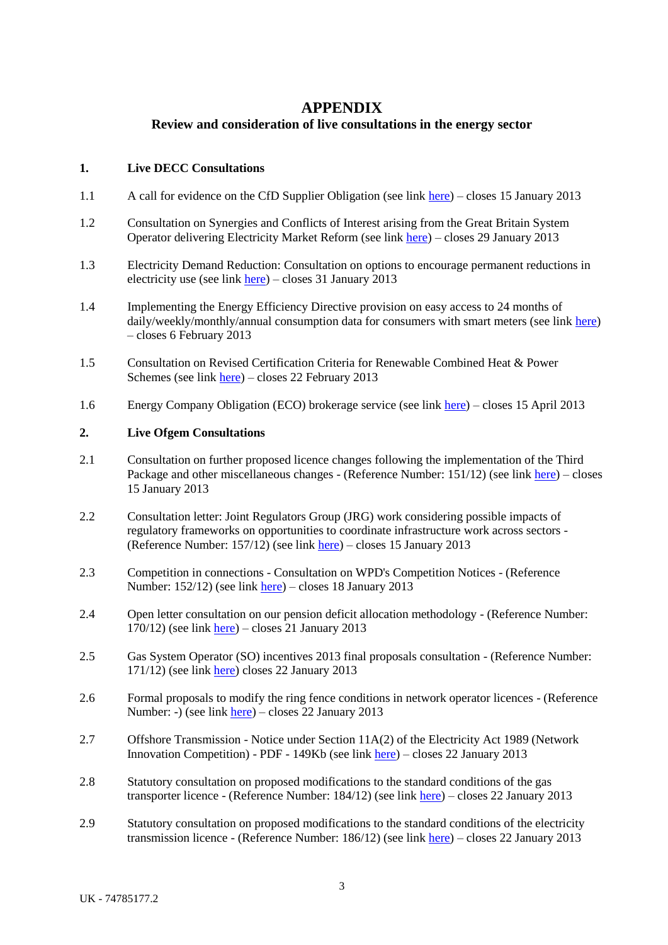# **APPENDIX**

# **Review and consideration of live consultations in the energy sector**

## **1. Live DECC Consultations**

- 1.1 A call for evidence on the CfD Supplier Obligation (see link [here\)](http://www.decc.gov.uk/en/content/cms/consultations/call_supp_ob/call_supp_ob.aspx) closes 15 January 2013
- 1.2 Consultation on Synergies and Conflicts of Interest arising from the Great Britain System Operator delivering Electricity Market Reform (see link [here\)](http://www.decc.gov.uk/en/content/cms/consultations/coi_emr/coi_emr.aspx) – closes 29 January 2013
- 1.3 Electricity Demand Reduction: Consultation on options to encourage permanent reductions in electricity use (see link [here\)](http://www.decc.gov.uk/en/content/cms/consultations/edr_cons/edr_cons.aspx) – closes 31 January 2013
- 1.4 Implementing the Energy Efficiency Directive provision on easy access to 24 months of daily/weekly/monthly/annual consumption data for consumers with smart meters (see link [here\)](http://www.decc.gov.uk/en/content/cms/consultations/sm_en_eff_dir/sm_en_eff_dir.aspx) – closes 6 February 2013
- 1.5 Consultation on Revised Certification Criteria for Renewable Combined Heat & Power Schemes (see link [here\)](http://www.decc.gov.uk/en/content/cms/consultations/rev_cri_chp/rev_cri_chp.aspx) – closes 22 February 2013
- 1.6 Energy Company Obligation (ECO) brokerage service (see link [here\)](http://www.decc.gov.uk/en/content/cms/consultations/eco_brokerage/eco_brokerage.aspx) closes 15 April 2013

#### **2. Live Ofgem Consultations**

- 2.1 Consultation on further proposed licence changes following the implementation of the Third Package and other miscellaneous changes - (Reference Number: 151/12) (see link [here\)](http://www.ofgem.gov.uk/Pages/MoreInformation.aspx?file=Remedial%20licence%20changes%20inc%203rd%20Package_20%20Nov%202012.pdf&refer=Licensing/Work) – closes 15 January 2013
- 2.2 Consultation letter: Joint Regulators Group (JRG) work considering possible impacts of regulatory frameworks on opportunities to coordinate infrastructure work across sectors - (Reference Number: 157/12) (see link [here\)](http://www.ofgem.gov.uk/Pages/MoreInformation.aspx?file=JRG%20letter%20subgroup%20infra%20share%2023%20November%202012.pdf&refer=Networks) – closes 15 January 2013
- 2.3 Competition in connections Consultation on WPD's Competition Notices (Reference Number: 152/12) (see link [here\)](http://www.ofgem.gov.uk/Pages/MoreInformation.aspx?file=WPD%20CON%20DOC.pdf&refer=Networks/Connectns/CompinConn) – closes 18 January 2013
- 2.4 Open letter consultation on our pension deficit allocation methodology (Reference Number:  $170/12$ ) (see lin[k here\)](http://www.ofgem.gov.uk/Pages/MoreInformation.aspx?file=PDAM%20open%20letter%20consultation%2017dec12.pdf&refer=Networks) – closes 21 January 2013
- 2.5 Gas System Operator (SO) incentives 2013 final proposals consultation (Reference Number: 171/12) (see lin[k here\)](http://www.ofgem.gov.uk/Pages/MoreInformation.aspx?file=Gas%20SO%20incentives%202013%20final%20proposals%20consultation.pdf&refer=Markets/WhlMkts/EffSystemOps/SystOpIncent) closes 22 January 2013
- 2.6 Formal proposals to modify the ring fence conditions in network operator licences (Reference Number: -) (see lin[k here\)](http://www.ofgem.gov.uk/Pages/MoreInformation.aspx?file=Formal%20proposals%20to%20modify%20the%20ring%20fence%20conditions%20in%20network%20operator%20licences.pdf&refer=Networks/Policy) – closes 22 January 2013
- 2.7 Offshore Transmission Notice under Section 11A(2) of the Electricity Act 1989 (Network Innovation Competition) - PDF - 149Kb (see link [here\)](http://www.ofgem.gov.uk/Pages/MoreInformation.aspx?file=20121221%20Network_Innovation_%20S11A_Notice.pdf&refer=Networks/offtrans/pdc/cdr/2012) – closes 22 January 2013
- 2.8 Statutory consultation on proposed modifications to the standard conditions of the gas transporter licence - (Reference Number: 184/12) (see link [here\)](http://www.ofgem.gov.uk/Pages/MoreInformation.aspx?file=Stat_con_on_proposed_modifications_standard_conditions_of_the_gas-transporter_licence.pdf&refer=Licensing/Work/Notices/ModNotice) – closes 22 January 2013
- 2.9 Statutory consultation on proposed modifications to the standard conditions of the electricity transmission licence - (Reference Number: 186/12) (see link [here\)](http://www.ofgem.gov.uk/Pages/MoreInformation.aspx?file=Stat_con_proposed_modifications_standard_conditions_of_the_electricity_transmission_licence.pdf&refer=Licensing/Work/Notices/ModNotice) – closes 22 January 2013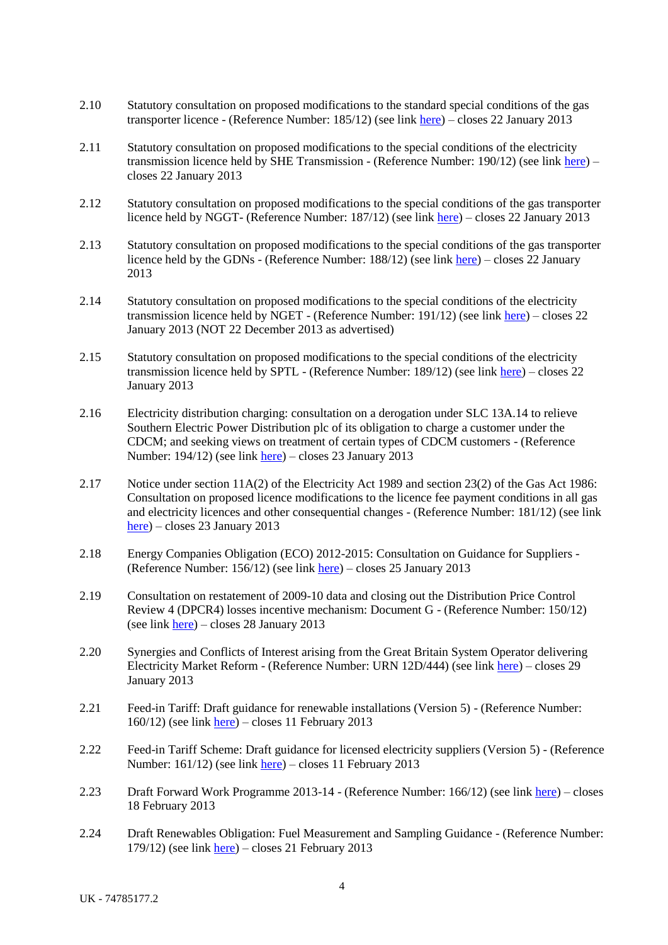- 2.10 Statutory consultation on proposed modifications to the standard special conditions of the gas transporter licence - (Reference Number: 185/12) (see link [here\)](http://www.ofgem.gov.uk/Pages/MoreInformation.aspx?file=Stat_con_modifications_standard_special_conditions_gas_transporter_licence.pdf&refer=Networks/Trans/PriceControls/RIIO-T1/ConRes) – closes 22 January 2013
- 2.11 Statutory consultation on proposed modifications to the special conditions of the electricity transmission licence held by SHE Transmission - (Reference Number: 190/12) (see link [here\)](http://www.ofgem.gov.uk/Pages/MoreInformation.aspx?file=Stat_con_proposed_%20mods_special_%20conditions_elec_trans_licence_SHE.pdf&refer=Networks/Trans/PriceControls/RIIO-T1/ConRes) – closes 22 January 2013
- 2.12 Statutory consultation on proposed modifications to the special conditions of the gas transporter licence held by NGGT- (Reference Number: 187/12) (see link [here\)](http://www.ofgem.gov.uk/Pages/MoreInformation.aspx?file=Stat_con_proposed_modifications_special_conditions_of_the_gas_transporter_licence_held_NGGT.pdf&refer=Networks/Trans/PriceControls/RIIO-T1/ConRes) – closes 22 January 2013
- 2.13 Statutory consultation on proposed modifications to the special conditions of the gas transporter licence held by the GDNs - (Reference Number: 188/12) (see link [here\)](http://www.ofgem.gov.uk/Pages/MoreInformation.aspx?file=Stat_con_modifications_special_conditions_gastransporter_licence_GDNs.pdf&refer=Networks/GasDistr/RIIO-GD1/ConRes) – closes 22 January 2013
- 2.14 Statutory consultation on proposed modifications to the special conditions of the electricity transmission licence held by NGET - (Reference Number: 191/12) (see lin[k here\)](http://www.ofgem.gov.uk/Pages/MoreInformation.aspx?file=Stat_con_proposed_%20mods_special_%20conditions_elec_trans_licence_NGET.pdf&refer=Networks/Trans/PriceControls/RIIO-T1/ConRes) – closes 22 January 2013 (NOT 22 December 2013 as advertised)
- 2.15 Statutory consultation on proposed modifications to the special conditions of the electricity transmission licence held by SPTL - (Reference Number: 189/12) (see link [here\)](http://www.ofgem.gov.uk/Pages/MoreInformation.aspx?file=Stat_con_proposed_%20mods_special_%20conditions_elec_trans_licence_SPTL.pdf&refer=Networks/Trans/PriceControls/RIIO-T1/ConRes) – closes 22 January 2013
- 2.16 Electricity distribution charging: consultation on a derogation under SLC 13A.14 to relieve Southern Electric Power Distribution plc of its obligation to charge a customer under the CDCM; and seeking views on treatment of certain types of CDCM customers - (Reference Number: 194/12) (see link [here\)](http://www.ofgem.gov.uk/Pages/MoreInformation.aspx?file=Consultation%20on%20derogation%20for%20SSE%20from%20charging%20under%20CDCM%20-%2020Dec12.pdf&refer=Networks/ElecDist/Policy/DistChrgs) – closes 23 January 2013
- 2.17 Notice under section 11A(2) of the Electricity Act 1989 and section 23(2) of the Gas Act 1986: Consultation on proposed licence modifications to the licence fee payment conditions in all gas and electricity licences and other consequential changes - (Reference Number: 181/12) (see link [here\)](http://www.ofgem.gov.uk/Pages/MoreInformation.aspx?file=Licence%20fee%20payment%20changes%20open%20letter.pdf&refer=Sustainability/Cp/Cr) – closes 23 January 2013
- 2.18 Energy Companies Obligation (ECO) 2012-2015: Consultation on Guidance for Suppliers (Reference Number: 156/12) (see link [here\)](http://www.ofgem.gov.uk/Pages/MoreInformation.aspx?file=ECO%20Guidance%20for%20Consultation%20-%2023%20November%202012.pdf&refer=Sustainability/Environment/ECO/guidance) – closes 25 January 2013
- 2.19 Consultation on restatement of 2009-10 data and closing out the Distribution Price Control Review 4 (DPCR4) losses incentive mechanism: Document G - (Reference Number: 150/12) (see lin[k here\)](http://www.ofgem.gov.uk/Pages/MoreInformation.aspx?file=8G_Con_200910data_losses_DPCR4_161112.pdf&refer=Networks/ElecDist/Policy/losses-incentive-mechanism) – closes 28 January 2013
- 2.20 Synergies and Conflicts of Interest arising from the Great Britain System Operator delivering Electricity Market Reform - (Reference Number: URN 12D/444) (see link [here\)](http://www.ofgem.gov.uk/Pages/MoreInformation.aspx?file=EMR%20Conflicts%20of%20interest%20consultation.pdf&refer=Markets/WhlMkts/EffSystemOps) – closes 29 January 2013
- 2.21 Feed-in Tariff: Draft guidance for renewable installations (Version 5) (Reference Number:  $160/12$ ) (see link [here\)](http://www.ofgem.gov.uk/Pages/MoreInformation.aspx?file=FIT%20Generator%20Guidance.pdf&refer=Sustainability/Environment/fits) – closes 11 February 2013
- 2.22 Feed-in Tariff Scheme: Draft guidance for licensed electricity suppliers (Version 5) (Reference Number: 161/12) (see link [here\)](http://www.ofgem.gov.uk/Pages/MoreInformation.aspx?file=FIT%20supplier%20guidance.pdf&refer=Sustainability/Environment/fits/Info) – closes 11 February 2013
- 2.23 Draft Forward Work Programme 2013-14 (Reference Number: 166/12) (see link [here\)](http://www.ofgem.gov.uk/Pages/MoreInformation.aspx?file=Forward%20Work%20Programme%202013-14%20Draft%20for%20Consultation%2018%20December%202012.pdf&refer=About%20us/CorpPlan) closes 18 February 2013
- 2.24 Draft Renewables Obligation: Fuel Measurement and Sampling Guidance (Reference Number: 179/12) (see lin[k here\)](http://www.ofgem.gov.uk/Pages/MoreInformation.aspx?file=Draft%20FMS%20Guidance%20for%20comment20Dec.pdf&refer=Sustainability/Environment/RenewablObl) – closes 21 February 2013